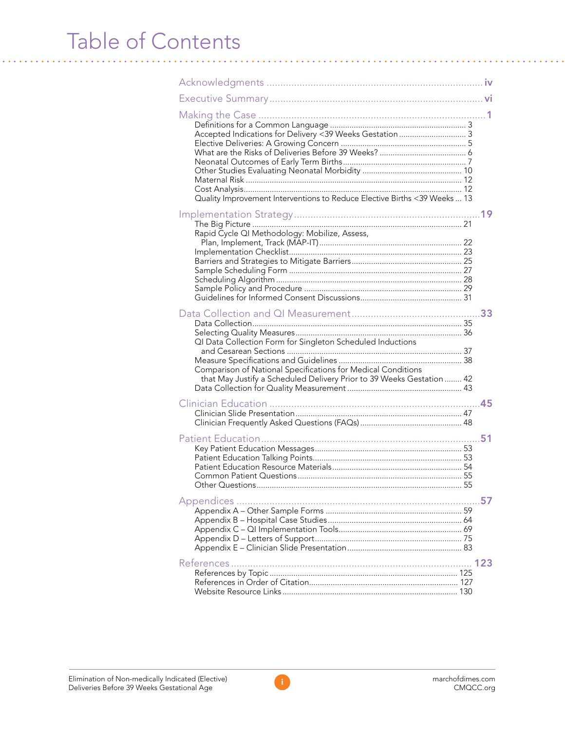## Table of Contents

| Quality Improvement Interventions to Reduce Elective Births <39 Weeks  13                                                                                                                           |  |
|-----------------------------------------------------------------------------------------------------------------------------------------------------------------------------------------------------|--|
| Rapid Cycle QI Methodology: Mobilize, Assess,                                                                                                                                                       |  |
| QI Data Collection Form for Singleton Scheduled Inductions<br>Comparison of National Specifications for Medical Conditions<br>that May Justify a Scheduled Delivery Prior to 39 Weeks Gestation  42 |  |
|                                                                                                                                                                                                     |  |
|                                                                                                                                                                                                     |  |
|                                                                                                                                                                                                     |  |
|                                                                                                                                                                                                     |  |

i. i.  $\mathbf{r}$  and  $\mathbf{r}$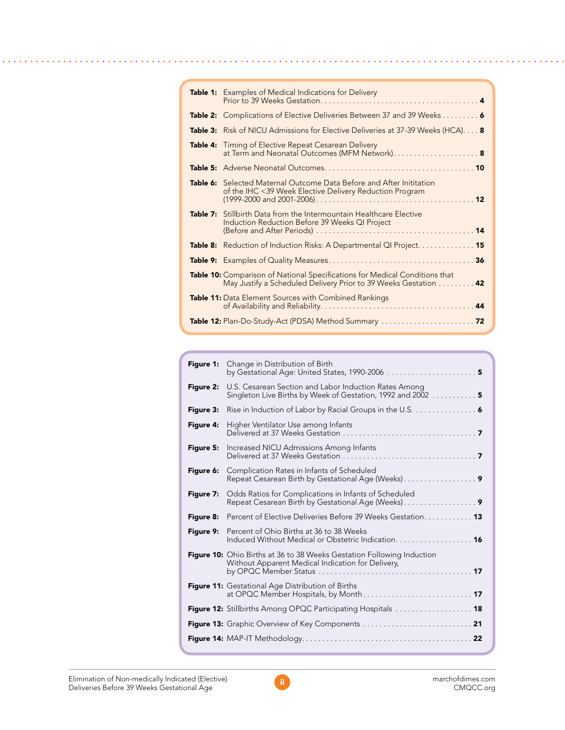| <b>Table 1:</b> Examples of Medical Indications for Delivery                                                                                          |
|-------------------------------------------------------------------------------------------------------------------------------------------------------|
| <b>Table 2:</b> Complications of Elective Deliveries Between 37 and 39 Weeks 6                                                                        |
| <b>Table 3:</b> Risk of NICU Admissions for Elective Deliveries at 37-39 Weeks (HCA) <b>8</b>                                                         |
| <b>Table 4:</b> Timing of Elective Repeat Cesarean Delivery<br>at Term and Neonatal Outcomes (MFM Network) 8                                          |
|                                                                                                                                                       |
| <b>Table 6:</b> Selected Maternal Outcome Data Before and After Inititation<br>of the IHC <39 Week Elective Delivery Reduction Program                |
| Table 7: Stillbirth Data from the Intermountain Healthcare Elective<br>Induction Reduction Before 39 Weeks QI Project                                 |
| <b>Table 8:</b> Reduction of Induction Risks: A Departmental QI Project. 15                                                                           |
|                                                                                                                                                       |
| <b>Table 10:</b> Comparison of National Specifications for Medical Conditions that<br>May Justify a Scheduled Delivery Prior to 39 Weeks Gestation 42 |
| Table 11: Data Element Sources with Combined Rankings                                                                                                 |
|                                                                                                                                                       |

| Figure 1: | Change in Distribution of Birth<br>by Gestational Age: United States, 1990-2006 $\ldots$                                                                                                                                                            |
|-----------|-----------------------------------------------------------------------------------------------------------------------------------------------------------------------------------------------------------------------------------------------------|
| Figure 2: | U.S. Cesarean Section and Labor Induction Rates Among<br>Singleton Live Births by Week of Gestation, 1992 and 2002 5                                                                                                                                |
| Figure 3: | Rise in Induction of Labor by Racial Groups in the U.S. $\ldots$                                                                                                                                                                                    |
| Figure 4: | Higher Ventilator Use among Infants                                                                                                                                                                                                                 |
| Figure 5: | Increased NICU Admissions Among Infants                                                                                                                                                                                                             |
| Figure 6: | Complication Rates in Infants of Scheduled                                                                                                                                                                                                          |
| Figure 7: | Odds Ratios for Complications in Infants of Scheduled<br>Repeat Cesarean Birth by Gestational Age (Weeks)                                                                                                                                           |
| Figure 8: | <b>Percent of Elective Deliveries Before 39 Weeks Gestation 13</b>                                                                                                                                                                                  |
| Figure 9: | Percent of Ohio Births at 36 to 38 Weeks<br>Induced Without Medical or Obstetric Indication. 16                                                                                                                                                     |
|           | <b>Figure 10:</b> Ohio Births at 36 to 38 Weeks Gestation Following Induction<br>Without Apparent Medical Indication for Delivery,<br>by OPQC Member Status $\ldots \ldots \ldots \ldots \ldots \ldots \ldots \ldots \ldots \ldots \ldots \cdot 17$ |
|           | <b>Figure 11:</b> Gestational Age Distribution of Births                                                                                                                                                                                            |
|           | Figure 12: Stillbirths Among OPQC Participating Hospitals  18                                                                                                                                                                                       |
|           | Figure 13: Graphic Overview of Key Components  21                                                                                                                                                                                                   |
|           |                                                                                                                                                                                                                                                     |